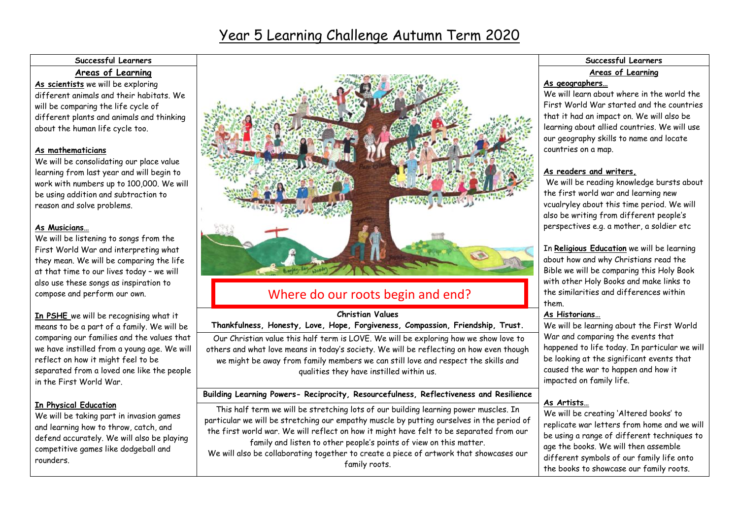### Year 5 Learning Challenge Autumn Term 2020

### **Areas of Learning**

**As scientists** we will be exploring different animals and their habitats. We will be comparing the life cycle of different plants and animals and thinking about the human life cycle too.

### **As mathematicians**

We will be consolidating our place value learning from last year and will begin to work with numbers up to 100,000. We will be using addition and subtraction to reason and solve problems.

### **As Musicians…**

We will be listening to songs from the First World War and interpreting what they mean. We will be comparing the life at that time to our lives today – we will also use these songs as inspiration to compose and perform our own.

**In PSHE** we will be recognising what it means to be a part of a family. We will be comparing our families and the values that we have instilled from a young age. We will reflect on how it might feel to be separated from a loved one like the people in the First World War.

### **In Physical Education**

We will be taking part in invasion games and learning how to throw, catch, and defend accurately. We will also be playing competitive games like dodgeball and rounders.



### Where do our roots begin and end?

### **Christian Values**

### **Thankfulness, Honesty, Love, Hope, Forgiveness, Compassion, Friendship, Trust.**

Our Christian value this half term is LOVE. We will be exploring how we show love to others and what love means in today's society. We will be reflecting on how even though we might be away from family members we can still love and respect the skills and qualities they have instilled within us.

### **Building Learning Powers- Reciprocity, Resourcefulness, Reflectiveness and Resilience**

This half term we will be stretching lots of our building learning power muscles. In particular we will be stretching our empathy muscle by putting ourselves in the period of the first world war. We will reflect on how it might have felt to be separated from our family and listen to other people's points of view on this matter. We will also be collaborating together to create a piece of artwork that showcases our family roots.

# **Areas of Learning**

#### **As geographers…**

We will learn about where in the world the First World War started and the countries that it had an impact on. We will also be learning about allied countries. We will use our geography skills to name and locate countries on a map.

### **As readers and writers,**

We will be reading knowledge bursts about the first world war and learning new vcualryley about this time period. We will also be writing from different people's perspectives e.g. a mother, a soldier etc

In **Religious Education** we will be learning about how and why Christians read the Bible we will be comparing this Holy Book with other Holy Books and make links to the similarities and differences within them.

### **As Historians…**

We will be learning about the First World War and comparing the events that happened to life today. In particular we will be looking at the significant events that caused the war to happen and how it impacted on family life.

### **As Artists…**

We will be creating 'Altered books' to replicate war letters from home and we will be using a range of different techniques to age the books. We will then assemble different symbols of our family life onto the books to showcase our family roots.